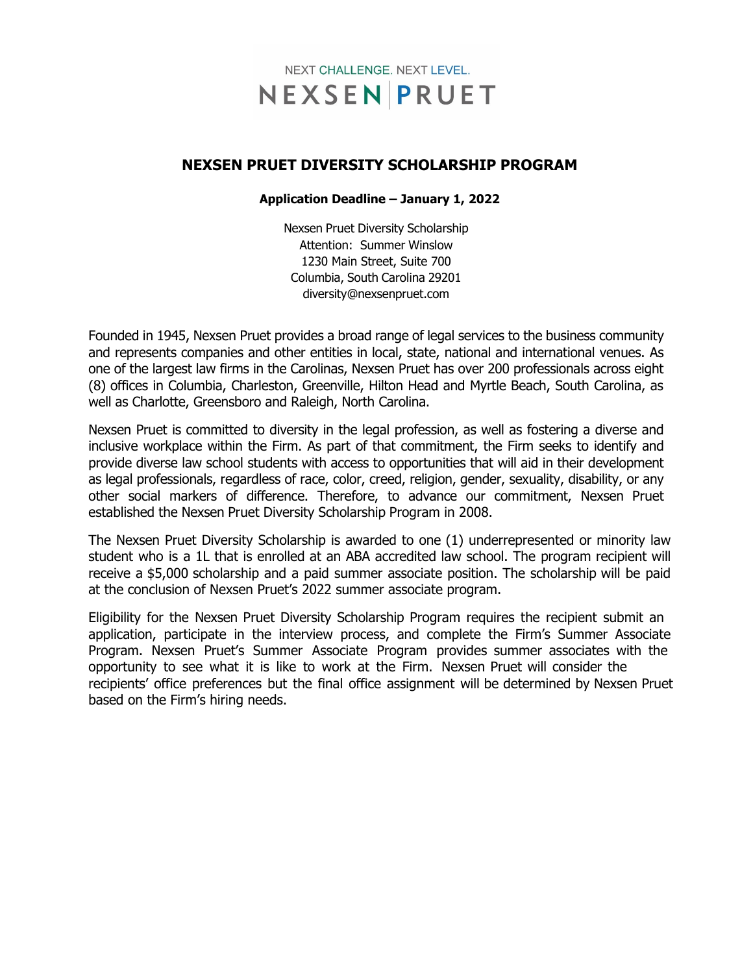

### **NEXSEN PRUET DIVERSITY SCHOLARSHIP PROGRAM**

#### **Application Deadline – January 1, 2022**

Nexsen Pruet Diversity Scholarship Attention: Summer Winslow 1230 Main Street, Suite 700 Columbia, South Carolina 29201 [diversity@nexsenpruet.com](mailto:diversity@nexsenpruet.com?subject=Nexsen%20Pruet%20Diversity%20Scholarship%20Program%20Application)

Founded in 1945, Nexsen Pruet provides a broad range of legal services to the business community and represents companies and other entities in local, state, national and international venues. As one of the largest law firms in the Carolinas, Nexsen Pruet has over 200 professionals across eight (8) offices in Columbia, Charleston, Greenville, Hilton Head and Myrtle Beach, South Carolina, as well as Charlotte, Greensboro and Raleigh, North Carolina.

Nexsen Pruet is committed to diversity in the legal profession, as well as fostering a diverse and inclusive workplace within the Firm. As part of that commitment, the Firm seeks to identify and provide diverse law school students with access to opportunities that will aid in their development as legal professionals, regardless of race, color, creed, religion, gender, sexuality, disability, or any other social markers of difference. Therefore, to advance our commitment, Nexsen Pruet established the Nexsen Pruet Diversity Scholarship Program in 2008.

The Nexsen Pruet Diversity Scholarship is awarded to one (1) underrepresented or minority law student who is a 1L that is enrolled at an ABA accredited law school. The program recipient will receive a \$5,000 scholarship and a paid summer associate position. The scholarship will be paid at the conclusion of Nexsen Pruet's 2022 summer associate program.

Eligibility for the Nexsen Pruet Diversity Scholarship Program requires the recipient submit an application, participate in the interview process, and complete the Firm's Summer Associate Program. Nexsen Pruet's Summer Associate Program provides summer associates with the opportunity to see what it is like to work at the Firm. Nexsen Pruet will consider the recipients' office preferences but the final office assignment will be determined by Nexsen Pruet based on the Firm's hiring needs.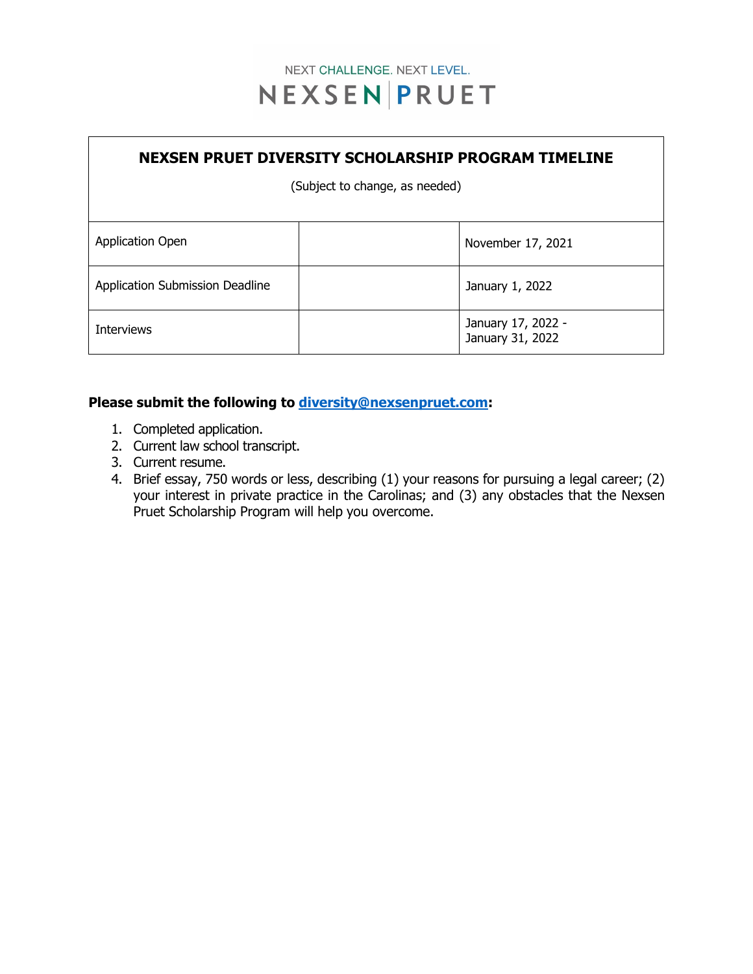

# **NEXSEN PRUET DIVERSITY SCHOLARSHIP PROGRAM TIMELINE**

(Subject to change, as needed)

| <b>Application Open</b>         |  | November 17, 2021                      |
|---------------------------------|--|----------------------------------------|
| Application Submission Deadline |  | January 1, 2022                        |
| Interviews                      |  | January 17, 2022 -<br>January 31, 2022 |

### **Please submit the following to [diversity@nexsenpruet.com:](mailto:diversity@nexsenpruet.com)**

- 1. Completed application.
- 2. Current law school transcript.
- 3. Current resume.
- 4. Brief essay, 750 words or less, describing (1) your reasons for pursuing a legal career; (2) your interest in private practice in the Carolinas; and (3) any obstacles that the Nexsen Pruet Scholarship Program will help you overcome.